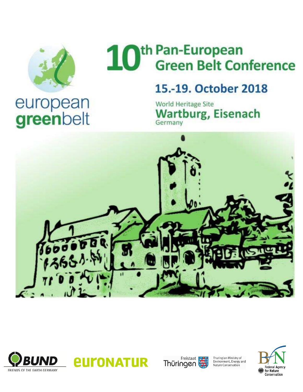

# th Pan-European<br>Green Belt Conference 10

## 15.-19. October 2018

World Heritage Site **Wartburg, Eisenach** Germany









Thuringian Ministry of<br>Environment, Energy and<br>Nature Conservation

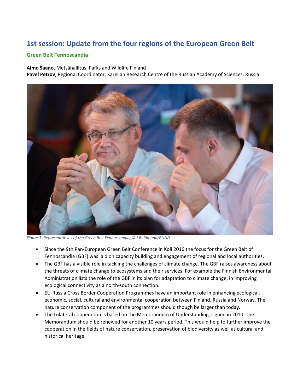### **1st session: Update from the four regions of the European Green Belt**

#### **Green Belt Fennoscandia**

**Aimo Saano**, Metsähallitus, Parks and Wildlife Finland

**Pavel Petrov**, Regional Coordinator, Karelian Research Centre of the Russian Academy of Sciences, Russia



*Figure 1: Representatives of the Green Belt Fennoscandia, © J.Buldmann/BUND*

- Since the 9th Pan-European Green Belt Conference in Koli 2016 the focus for the Green Belt of Fennoscandia (GBF) was laid on capacity building and engagement of regional and local authorities.
- The GBF has a visible role in tackling the challenges of climate change. The GBF raises awareness about the threats of climate change to ecosystems and their services. For example the Finnish Environmental Administration lists the role of the GBF in its plan for adaptation to climate change, in improving ecological connectivity as a north-south connection.
- EU-Russia Cross Border Cooperation Programmes have an important role in enhancing ecological, economic, social, cultural and environmental cooperation between Finland, Russia and Norway. The nature conservation component of the programmes should though be larger than today.
- The trilateral cooperation is based on the Memorandum of Understanding, signed in 2010. The Memorandum should be renewed for another 10 years period. This would help to further improve the cooperation in the fields of nature conservation, preservation of biodiversity as well as cultural and historical heritage.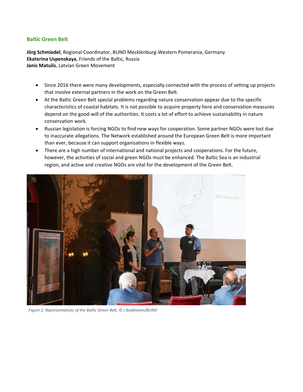#### **Baltic Green Belt**

**Jörg Schmiedel**, Regional Coordinator, BUND Mecklenburg-Western Pomerania, Germany **Ekaterina Uspenskaya**, Friends of the Baltic, Russia **Janis Matulis**, Latvian Green Movement

- Since 2016 there were many developments, especially connected with the process of setting up projects that involve external partners in the work on the Green Belt.
- At the Baltic Green Belt special problems regarding nature conservation appear due to the specific characteristics of coastal habitats. It is not possible to acquire property here and conservation measures depend on the good-will of the authorities. It costs a lot of effort to achieve sustainability in nature conservation work.
- Russian legislation is forcing NGOs to find new ways for cooperation. Some partner-NGOs were lost due to inaccurate allegations. The Network established around the European Green Belt is more important than ever, because it can support organisations in flexible ways.
- There are a high number of international and national projects and cooperations. For the future, however, the activities of social and green NGOs must be enhanced. The Baltic Sea is an industrial region, and active and creative NGOs are vital for the development of the Green Belt.



*Figure 2: Representatives of the Baltic Green Belt, © J.Buldmann/BUND*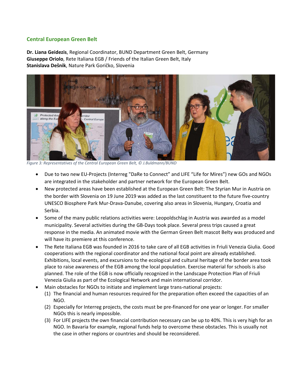#### **Central European Green Belt**

**Dr. Liana Geidezis**, Regional Coordinator, BUND Department Green Belt, Germany **Giuseppe Oriolo**, Rete Italiana EGB / Friends of the Italian Green Belt, Italy **Stanislava Dešnik**, Nature Park Goričko, Slovenia



*Figure 3: Representatives of the Central European Green Belt, © J.Buldmann/BUND*

- Due to two new EU-Projects (Interreg "DaRe to Connect" and LIFE "Life for Mires") new GOs and NGOs are integrated in the stakeholder and partner network for the European Green Belt.
- New protected areas have been established at the European Green Belt: The Styrian Mur in Austria on the border with Slovenia on 19 June 2019 was added as the last constituent to the future five-country UNESCO Biosphere Park Mur-Drava-Danube, covering also areas in Slovenia, Hungary, Croatia and Serbia.
- Some of the many public relations activities were: Leopoldschlag in Austria was awarded as a model municipality. Several activities during the GB-Days took place. Several press trips caused a great response in the media. An animated movie with the German Green Belt mascot Belty was produced and will have its premiere at this conference.
- The Rete Italiana EGB was founded in 2016 to take care of all EGB activities in Friuli Venezia Giulia. Good cooperations with the regional coordinator and the national focal point are already established. Exhibitions, local events, and excursions to the ecological and cultural heritage of the border area took place to raise awareness of the EGB among the local population. Exercise material for schools is also planned. The role of the EGB is now officially recognized in the Landscape Protection Plan of Friuli Venezia Giulia as part of the Ecological Network and main international corridor.
- Main obstacles for NGOs to initiate and implement large trans-national projects:
	- (1) The financial and human resources required for the preparation often exceed the capacities of an NGO.
	- (2) Especially for Interreg projects, the costs must be pre-financed for one year or longer. For smaller NGOs this is nearly impossible.
	- (3) For LIFE projects the own financial contribution necessary can be up to 40%. This is very high for an NGO. In Bavaria for example, regional funds help to overcome these obstacles. This is usually not the case in other regions or countries and should be reconsidered.